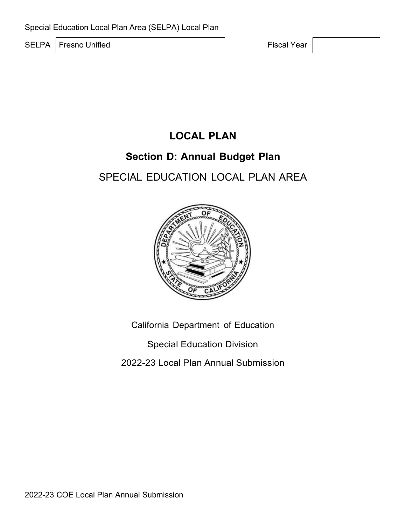SELPA Fresno Unified **Fiscal Year** 

# **LOCAL PLAN**

## **Section D: Annual Budget Plan**

# SPECIAL EDUCATION LOCAL PLAN AREA



California Department of Education

Special Education Division

2022-23 Local Plan Annual Submission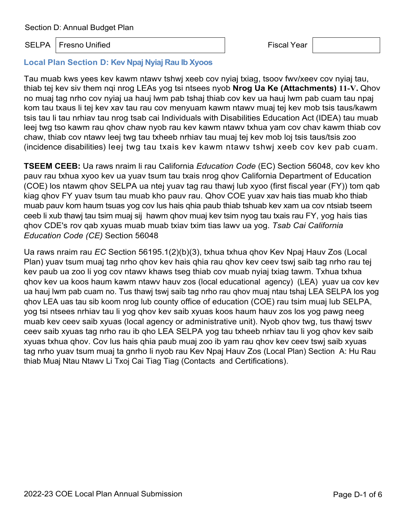## SELPA Fresno Unified **Fiscal Year** Fiscal Year

#### **Local Plan Section D: Kev Npaj Nyiaj Rau Ib Xyoos**

Tau muab kws yees kev kawm ntawv tshwj xeeb cov nyiaj txiag, tsoov fwv/xeev cov nyiaj tau, thiab tej kev siv them nqi nrog LEAs yog tsi ntsees nyob **Nrog Ua Ke (Attachments) 11-V.** Qhov no muaj tag nrho cov nyiaj ua hauj lwm pab tshaj thiab cov kev ua hauj lwm pab cuam tau npaj kom tau txaus li tej kev xav tau rau cov menyuam kawm ntawv muaj tej kev mob tsis taus/kawm tsis tau li tau nrhiav tau nrog tsab cai Individuals with Disabilities Education Act (IDEA) tau muab leej twg tso kawm rau qhov chaw nyob rau kev kawm ntawv txhua yam cov chav kawm thiab cov chaw, thiab cov ntawv leej twg tau txheeb nrhiav tau muaj tej kev mob loj tsis taus/tsis zoo (incidence disabilities) leej twg tau txais kev kawm ntawv tshwj xeeb cov kev pab cuam.

**TSEEM CEEB:** Ua raws nraim li rau California *Education Code* (EC) Section 56048, cov kev kho pauv rau txhua xyoo kev ua yuav tsum tau txais nrog qhov California Department of Education (COE) los ntawm qhov SELPA ua ntej yuav tag rau thawj lub xyoo (first fiscal year (FY)) tom qab kiag qhov FY yuav tsum tau muab kho pauv rau. Qhov COE yuav xav hais tias muab kho thiab muab pauv kom haum tsuas yog cov lus hais qhia paub thiab tshuab kev xam ua cov ntsiab tseem ceeb li xub thawj tau tsim muaj sij hawm qhov muaj kev tsim nyog tau txais rau FY, yog hais tias qhov CDE's rov qab xyuas muab muab txiav txim tias lawv ua yog. *Tsab Cai California Education Code (CE)* Section 56048

Ua raws nraim rau *EC* Section 56195.1(2)(b)(3), txhua txhua qhov Kev Npaj Hauv Zos (Local Plan) yuav tsum muaj tag nrho qhov kev hais qhia rau qhov kev ceev tswj saib tag nrho rau tej kev paub ua zoo li yog cov ntawv khaws tseg thiab cov muab nyiaj txiag tawm. Txhua txhua qhov kev ua koos haum kawm ntawv hauv zos (local educational agency) (LEA) yuav ua cov kev ua hauj lwm pab cuam no. Tus thawj tswj saib tag nrho rau qhov muaj ntau tshaj LEA SELPA los yog qhov LEA uas tau sib koom nrog lub county office of education (COE) rau tsim muaj lub SELPA, yog tsi ntsees nrhiav tau li yog qhov kev saib xyuas koos haum hauv zos los yog pawg neeg muab kev ceev saib xyuas (local agency or administrative unit). Nyob qhov twg, tus thawj tswv ceev saib xyuas tag nrho rau ib qho LEA SELPA yog tau txheeb nrhiav tau li yog qhov kev saib xyuas txhua qhov. Cov lus hais qhia paub muaj zoo ib yam rau qhov kev ceev tswj saib xyuas tag nrho yuav tsum muaj ta gnrho li nyob rau Kev Npaj Hauv Zos (Local Plan) Section A: Hu Rau thiab Muaj Ntau Ntawv Li Txoj Cai Tiag Tiag (Contacts and Certifications).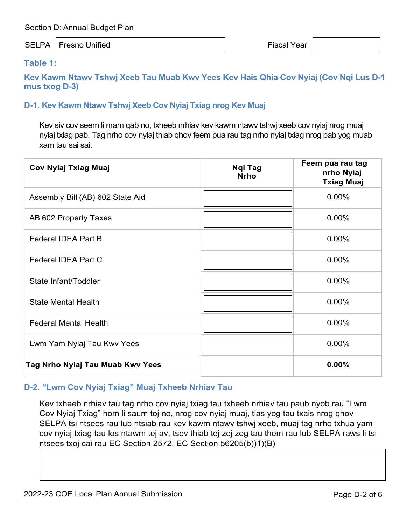#### SELPA Fresno Unified **Fiscal Year**

#### **Table 1:**

**Kev Kawm Ntawv Tshwj Xeeb Tau Muab Kwv Yees Kev Hais Qhia Cov Nyiaj (Cov Nqi Lus D-1 mus txog D-3)**

## **D-1. Kev Kawm Ntawv Tshwj Xeeb Cov Nyiaj Txiag nrog Kev Muaj**

Kev siv cov seem li nram qab no, txheeb nrhiav kev kawm ntawv tshwj xeeb cov nyiaj nrog muaj nyiaj txiag pab. Tag nrho cov nyiaj thiab qhov feem pua rau tag nrho nyiaj txiag nrog pab yog muab xam tau sai sai.

| <b>Cov Nyiaj Txiag Muaj</b>      | Ngi Tag<br><b>Nrho</b> | Feem pua rau tag<br>nrho Nyiaj<br><b>Txiag Muaj</b> |
|----------------------------------|------------------------|-----------------------------------------------------|
| Assembly Bill (AB) 602 State Aid |                        | 0.00%                                               |
| AB 602 Property Taxes            |                        | $0.00\%$                                            |
| Federal IDEA Part B              |                        | 0.00%                                               |
| Federal IDEA Part C              |                        | 0.00%                                               |
| State Infant/Toddler             |                        | 0.00%                                               |
| <b>State Mental Health</b>       |                        | 0.00%                                               |
| <b>Federal Mental Health</b>     |                        | $0.00\%$                                            |
| Lwm Yam Nyiaj Tau Kwv Yees       |                        | $0.00\%$                                            |
| Tag Nrho Nyiaj Tau Muab Kwv Yees |                        | 0.00%                                               |

#### **D-2. "Lwm Cov Nyiaj Txiag" Muaj Txheeb Nrhiav Tau**

Kev txheeb nrhiav tau tag nrho cov nyiaj txiag tau txheeb nrhiav tau paub nyob rau "Lwm Cov Nyiaj Txiag" hom li saum toj no, nrog cov nyiaj muaj, tias yog tau txais nrog qhov SELPA tsi ntsees rau lub ntsiab rau kev kawm ntawv tshwj xeeb, muaj tag nrho txhua yam cov nyiaj txiag tau los ntawm tej av, tsev thiab tej zej zog tau them rau lub SELPA raws li tsi ntsees txoj cai rau EC Section 2572. EC Section 56205(b))1)(B)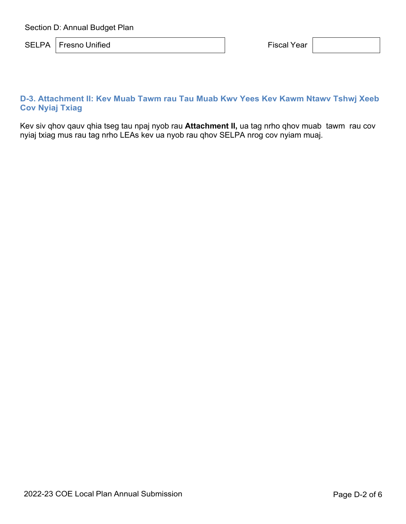SELPA Fresno Unified **Fiscal Year** 

## **D-3. Attachment II: Kev Muab Tawm rau Tau Muab Kwv Yees Kev Kawm Ntawv Tshwj Xeeb Cov Nyiaj Txiag**

Kev siv qhov qauv qhia tseg tau npaj nyob rau **Attachment II,** ua tag nrho qhov muab tawm rau cov nyiaj txiag mus rau tag nrho LEAs kev ua nyob rau qhov SELPA nrog cov nyiam muaj.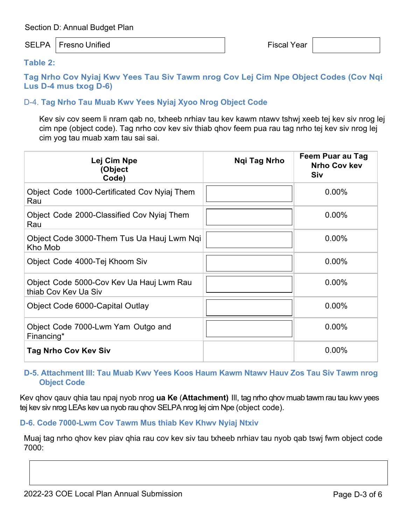## SELPA Fresno Unified **Fiscal Year**

#### **Table 2:**

**Tag Nrho Cov Nyiaj Kwv Yees Tau Siv Tawm nrog Cov Lej Cim Npe Object Codes (Cov Nqi Lus D-4 mus txog D-6)**

### D-4. **Tag Nrho Tau Muab Kwv Yees Nyiaj Xyoo Nrog Object Code**

Kev siv cov seem li nram qab no, txheeb nrhiav tau kev kawm ntawv tshwj xeeb tej kev siv nrog lej cim npe (object code). Tag nrho cov kev siv thiab qhov feem pua rau tag nrho tej kev siv nrog lej cim yog tau muab xam tau sai sai.

| Lej Cim Npe<br><b>Object</b><br>Code)                            | Ngi Tag Nrho | Feem Puar au Tag<br><b>Nrho Cov kev</b><br><b>Siv</b> |
|------------------------------------------------------------------|--------------|-------------------------------------------------------|
| Object Code 1000-Certificated Cov Nyiaj Them<br>Rau              |              | $0.00\%$                                              |
| Object Code 2000-Classified Cov Nyiaj Them<br>Rau                |              | $0.00\%$                                              |
| Object Code 3000-Them Tus Ua Hauj Lwm Ngi<br>Kho Mob             |              | 0.00%                                                 |
| Object Code 4000-Tej Khoom Siv                                   |              | $0.00\%$                                              |
| Object Code 5000-Cov Kev Ua Hauj Lwm Rau<br>thiab Cov Key Ua Siv |              | 0.00%                                                 |
| Object Code 6000-Capital Outlay                                  |              | $0.00\%$                                              |
| Object Code 7000-Lwm Yam Outgo and<br>Financing*                 |              | 0.00%                                                 |
| <b>Tag Nrho Cov Kev Siv</b>                                      |              | $0.00\%$                                              |

#### **D-5. Attachment III: Tau Muab Kwv Yees Koos Haum Kawm Ntawv Hauv Zos Tau Siv Tawm nrog Object Code**

Kev qhov qauv qhia tau npaj nyob nrog **ua Ke** (**Attachment)** Ill, tag nrho qhov muab tawm rau tau kwv yees tej kev siv nrog LEAs kev ua nyob rau qhov SELPA nrog lej cim Npe (object code).

## **D-6. Code 7000-Lwm Cov Tawm Mus thiab Kev Khwv Nyiaj Ntxiv**

Muaj tag nrho qhov kev piav qhia rau cov kev siv tau txheeb nrhiav tau nyob qab tswj fwm object code 7000: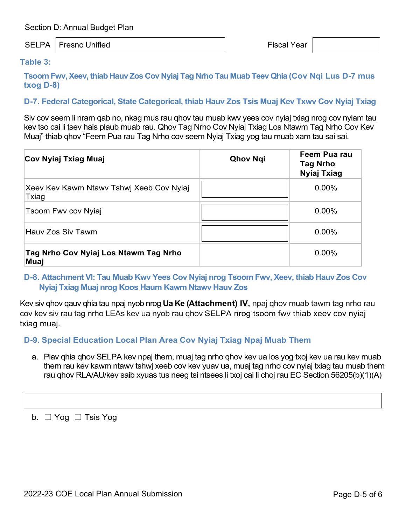#### SELPA Fresno Unified **Fiscal Year**

#### **Table 3:**

**Tsoom Fwv, Xeev, thiab Hauv Zos Cov Nyiaj Tag Nrho Tau Muab Teev Qhia (Cov Nqi Lus D-7 mus txog D-8)**

#### **D-7. Federal Categorical, State Categorical, thiab Hauv Zos Tsis Muaj Kev Txwv Cov Nyiaj Txiag**

Siv cov seem li nram qab no, nkag mus rau qhov tau muab kwv yees cov nyiaj txiag nrog cov nyiam tau kev tso cai li tsev hais plaub muab rau. Qhov Tag Nrho Cov Nyiaj Txiag Los Ntawm Tag Nrho Cov Kev Muaj" thiab qhov "Feem Pua rau Tag Nrho cov seem Nyiaj Txiag yog tau muab xam tau sai sai.

| Cov Nyiaj Txiag Muaj                              | <b>Qhov Ngi</b> | Feem Pua rau<br><b>Tag Nrho</b><br><b>Nyiaj Txiag</b> |
|---------------------------------------------------|-----------------|-------------------------------------------------------|
| Xeev Kev Kawm Ntawy Tshwj Xeeb Cov Nyiaj<br>Txiag |                 | $0.00\%$                                              |
| Tsoom Fwy cov Nyiaj                               |                 | $0.00\%$                                              |
| Hauv Zos Siv Tawm                                 |                 | 0.00%                                                 |
| Tag Nrho Cov Nyiaj Los Ntawm Tag Nrho<br>Muaj     |                 | $0.00\%$                                              |

#### **D-8. Attachment VI: Tau Muab Kwv Yees Cov Nyiaj nrog Tsoom Fwv, Xeev, thiab Hauv Zos Cov Nyiaj Txiag Muaj nrog Koos Haum Kawm Ntawv Hauv Zos**

Kev siv qhov qauv qhia tau npaj nyob nrog **Ua Ke (Attachment) IV,** npaj qhov muab tawm tag nrho rau cov kev siv rau tag nrho LEAs kev ua nyob rau qhov SELPA nrog tsoom fwv thiab xeev cov nyiaj txiag muaj.

#### **D-9. Special Education Local Plan Area Cov Nyiaj Txiag Npaj Muab Them**

a. Piav qhia qhov SELPA kev npaj them, muaj tag nrho qhov kev ua los yog txoj kev ua rau kev muab them rau kev kawm ntawv tshwj xeeb cov kev yuav ua, muaj tag nrho cov nyiaj txiag tau muab them rau qhov RLA/AU/kev saib xyuas tus neeg tsi ntsees li txoj cai li choj rau EC Section 56205(b)(1)(A)

b.  $\Box$  Yog  $\Box$  Tsis Yog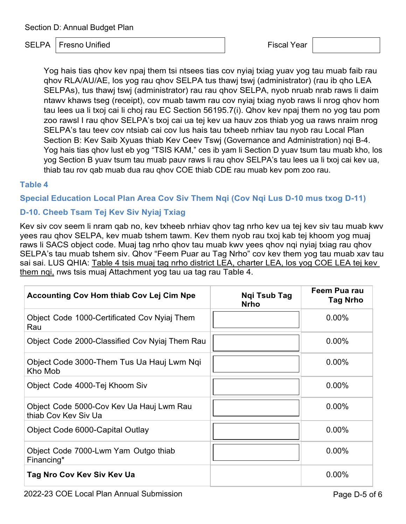## SELPA Fresno Unified **Fiscal Year** Fiscal Year

Yog hais tias qhov kev npaj them tsi ntsees tias cov nyiaj txiag yuav yog tau muab faib rau qhov RLA/AU/AE, los yog rau qhov SELPA tus thawj tswj (administrator) (rau ib qho LEA SELPAs), tus thawj tswj (administrator) rau rau qhov SELPA, nyob nruab nrab raws li daim ntawv khaws tseg (receipt), cov muab tawm rau cov nyiaj txiag nyob raws li nrog qhov hom tau lees ua li txoj cai li choj rau EC Section 56195.7(i). Qhov kev npaj them no yog tau pom zoo rawsl I rau qhov SELPA's txoj cai ua tej kev ua hauv zos thiab yog ua raws nraim nrog SELPA's tau teev cov ntsiab cai cov lus hais tau txheeb nrhiav tau nyob rau Local Plan Section B: Kev Saib Xyuas thiab Kev Ceev Tswj (Governance and Administration) nqi B-4. Yog hais tias qhov lust eb yog "TSIS KAM," ces ib yam li Section D yuav tsum tau muab kho, los yog Section B yuav tsum tau muab pauv raws li rau qhov SELPA's tau lees ua li txoj cai kev ua, thiab tau rov qab muab dua rau qhov COE thiab CDE rau muab kev pom zoo rau.

## **Table 4**

**Special Education Local Plan Area Cov Siv Them Nqi (Cov Nqi Lus D-10 mus txog D-11)**

## **D-10. Cheeb Tsam Tej Kev Siv Nyiaj Txiag**

Kev siv cov seem li nram qab no, kev txheeb nrhiav qhov tag nrho kev ua tej kev siv tau muab kwv yees rau qhov SELPA, kev muab tshem tawm. Kev them nyob rau txoj kab tej khoom yog muaj raws li SACS object code. Muaj tag nrho qhov tau muab kwv yees qhov nqi nyiaj txiag rau qhov SELPA's tau muab tshem siv. Qhov "Feem Puar au Tag Nrho" cov kev them yog tau muab xav tau sai sai. LUS QHIA: Table 4 tsis muaj tag nrho district LEA, charter LEA, los yog COE LEA tej kev them ngi, nws tsis muaj Attachment yog tau ua tag rau Table 4.

| <b>Accounting Cov Hom thiab Cov Lej Cim Npe</b>                  | <b>Ngi Tsub Tag</b><br><b>Nrho</b> | Feem Pua rau<br><b>Tag Nrho</b> |
|------------------------------------------------------------------|------------------------------------|---------------------------------|
| Object Code 1000-Certificated Cov Nyiaj Them<br>Rau              |                                    | $0.00\%$                        |
| Object Code 2000-Classified Cov Nyiaj Them Rau                   |                                    | $0.00\%$                        |
| Object Code 3000-Them Tus Ua Hauj Lwm Ngi<br>Kho Mob             |                                    | $0.00\%$                        |
| Object Code 4000-Tej Khoom Siv                                   |                                    | $0.00\%$                        |
| Object Code 5000-Cov Kev Ua Hauj Lwm Rau<br>thiab Cov Key Siv Ua |                                    | $0.00\%$                        |
| Object Code 6000-Capital Outlay                                  |                                    | $0.00\%$                        |
| Object Code 7000-Lwm Yam Outgo thiab<br>Financing*               |                                    | $0.00\%$                        |
| Tag Nro Cov Kev Siv Kev Ua                                       |                                    | $0.00\%$                        |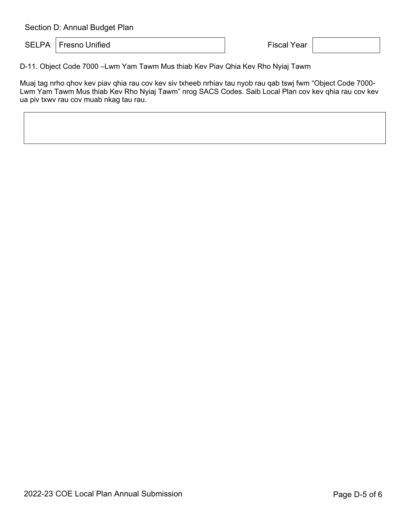SELPA Fresno Unified **Fiscal Year** Fiscal Year

D-11. Object Code 7000 –Lwm Yam Tawm Mus thiab Kev Piav Qhia Kev Rho Nyiaj Tawm

Muaj tag nrho qhov kev piav qhia rau cov kev siv txheeb nrhiav tau nyob rau qab tswj fwm "Object Code 7000- Lwm Yam Tawm Mus thiab Kev Rho Nyiaj Tawm" nrog SACS Codes. Saib Local Plan cov kev qhia rau cov kev ua piv txwv rau cov muab nkag tau rau.